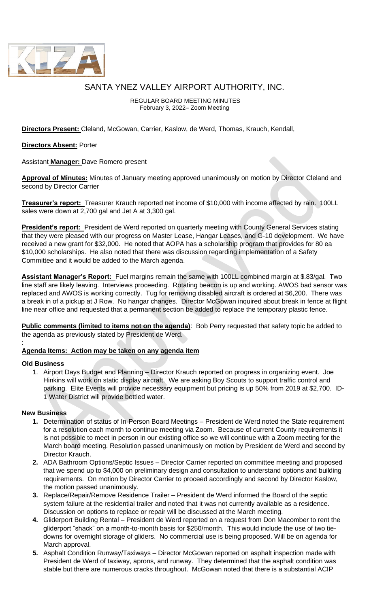

# SANTA YNEZ VALLEY AIRPORT AUTHORITY, INC.

REGULAR BOARD MEETING MINUTES February 3, 2022– Zoom Meeting

**Directors Present:** Cleland, McGowan, Carrier, Kaslow, de Werd, Thomas, Krauch, Kendall,

### **Directors Absent:** Porter

Assistant **Manager:** Dave Romero present

**Approval of Minutes:** Minutes of January meeting approved unanimously on motion by Director Cleland and second by Director Carrier

**Treasurer's report:** Treasurer Krauch reported net income of \$10,000 with income affected by rain. 100LL sales were down at 2,700 gal and Jet A at 3,300 gal.

**President's report:** President de Werd reported on quarterly meeting with County General Services stating that they were pleased with our progress on Master Lease, Hangar Leases, and G-10 development. We have received a new grant for \$32,000. He noted that AOPA has a scholarship program that provides for 80 ea \$10,000 scholarships. He also noted that there was discussion regarding implementation of a Safety Committee and it would be added to the March agenda.

**Assistant Manager's Report:** Fuel margins remain the same with 100LL combined margin at \$.83/gal. Two line staff are likely leaving. Interviews proceeding. Rotating beacon is up and working. AWOS bad sensor was replaced and AWOS is working correctly. Tug for removing disabled aircraft is ordered at \$6,200. There was a break in of a pickup at J Row. No hangar changes. Director McGowan inquired about break in fence at flight line near office and requested that a permanent section be added to replace the temporary plastic fence.

**Public comments (limited to items not on the agenda)**: Bob Perry requested that safety topic be added to the agenda as previously stated by President de Werd.

## **Agenda Items: Action may be taken on any agenda item**

#### **Old Business**

:

1. Airport Days Budget and Planning – Director Krauch reported on progress in organizing event. Joe Hinkins will work on static display aircraft. We are asking Boy Scouts to support traffic control and parking. Elite Events will provide necessary equipment but pricing is up 50% from 2019 at \$2,700. ID-1 Water District will provide bottled water.

#### **New Business**

- **1.** Determination of status of In-Person Board Meetings President de Werd noted the State requirement for a resolution each month to continue meeting via Zoom. Because of current County requirements it is not possible to meet in person in our existing office so we will continue with a Zoom meeting for the March board meeting. Resolution passed unanimously on motion by President de Werd and second by Director Krauch.
- **2.** ADA Bathroom Options/Septic Issues Director Carrier reported on committee meeting and proposed that we spend up to \$4,000 on preliminary design and consultation to understand options and building requirements. On motion by Director Carrier to proceed accordingly and second by Director Kaslow, the motion passed unanimously.
- **3.** Replace/Repair/Remove Residence Trailer President de Werd informed the Board of the septic system failure at the residential trailer and noted that it was not currently available as a residence. Discussion on options to replace or repair will be discussed at the March meeting.
- **4.** Gliderport Building Rental President de Werd reported on a request from Don Macomber to rent the gliderport "shack" on a month-to-month basis for \$250/month. This would include the use of two tiedowns for overnight storage of gliders. No commercial use is being proposed. Will be on agenda for March approval.
- **5.** Asphalt Condition Runway/Taxiways Director McGowan reported on asphalt inspection made with President de Werd of taxiway, aprons, and runway. They determined that the asphalt condition was stable but there are numerous cracks throughout. McGowan noted that there is a substantial ACIP